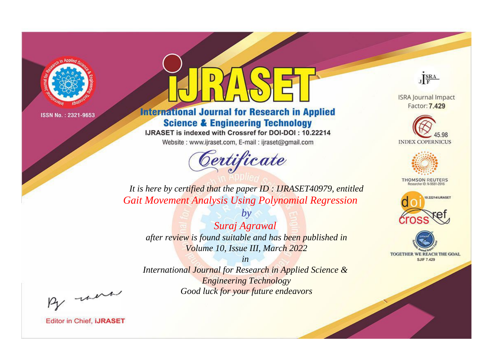

# **International Journal for Research in Applied Science & Engineering Technology**

IJRASET is indexed with Crossref for DOI-DOI: 10.22214

Website: www.ijraset.com, E-mail: ijraset@gmail.com



JERA

**ISRA Journal Impact** Factor: 7.429





**THOMSON REUTERS** 



TOGETHER WE REACH THE GOAL **SJIF 7.429** 

It is here by certified that the paper ID: IJRASET40979, entitled **Gait Movement Analysis Using Polynomial Regression** 

Suraj Agrawal after review is found suitable and has been published in Volume 10, Issue III, March 2022

 $by$ 

 $in$ International Journal for Research in Applied Science & **Engineering Technology** Good luck for your future endeavors

By morn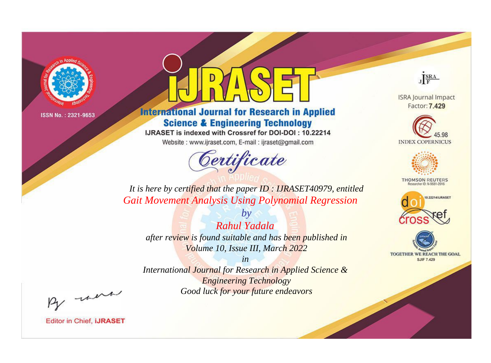

# **International Journal for Research in Applied Science & Engineering Technology**

IJRASET is indexed with Crossref for DOI-DOI: 10.22214

Website: www.ijraset.com, E-mail: ijraset@gmail.com



JERA

**ISRA Journal Impact** Factor: 7.429





**THOMSON REUTERS** 



TOGETHER WE REACH THE GOAL **SJIF 7.429** 

*It is here by certified that the paper ID : IJRASET40979, entitled Gait Movement Analysis Using Polynomial Regression*

*Rahul Yadala after review is found suitable and has been published in Volume 10, Issue III, March 2022*

*by*

*in* 

*International Journal for Research in Applied Science & Engineering Technology Good luck for your future endeavors*

By morn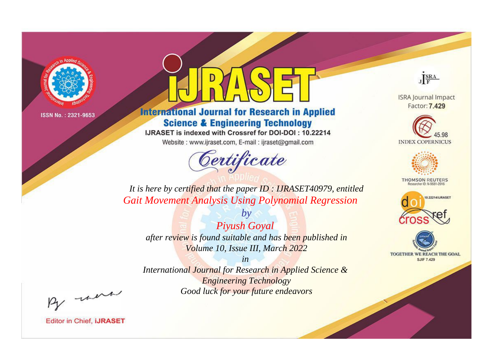

# **International Journal for Research in Applied Science & Engineering Technology**

IJRASET is indexed with Crossref for DOI-DOI: 10.22214

Website: www.ijraset.com, E-mail: ijraset@gmail.com



JERA

**ISRA Journal Impact** Factor: 7.429





**THOMSON REUTERS** 



TOGETHER WE REACH THE GOAL **SJIF 7.429** 

*It is here by certified that the paper ID : IJRASET40979, entitled Gait Movement Analysis Using Polynomial Regression*

*by Piyush Goyal after review is found suitable and has been published in Volume 10, Issue III, March 2022*

*in* 

*International Journal for Research in Applied Science & Engineering Technology Good luck for your future endeavors*

By morn